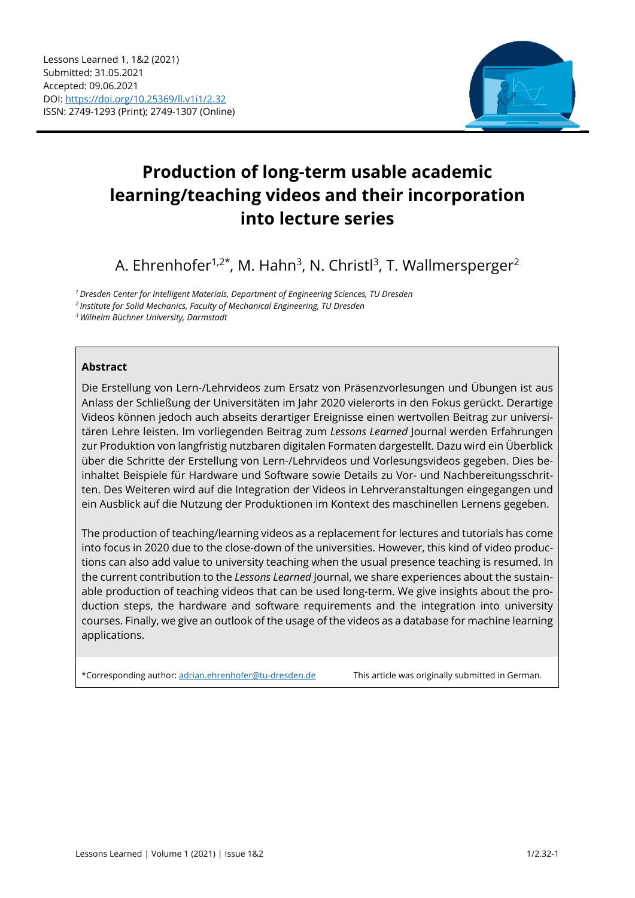

# **Production of long-term usable academic learning/teaching videos and their incorporation into lecture series**

A. Ehrenhofer<sup>1,2\*</sup>, M. Hahn<sup>3</sup>, N. Christl<sup>3</sup>, T. Wallmersperger<sup>2</sup>

*1 Dresden Center for Intelligent Materials, Department of Engineering Sciences, TU Dresden* 

*2 Institute for Solid Mechanics, Faculty of Mechanical Engineering, TU Dresden* 

*3 Wilhelm Büchner University, Darmstadt* 

#### **Abstract**

Die Erstellung von Lern-/Lehrvideos zum Ersatz von Präsenzvorlesungen und Übungen ist aus Anlass der Schließung der Universitäten im Jahr 2020 vielerorts in den Fokus gerückt. Derartige Videos können jedoch auch abseits derartiger Ereignisse einen wertvollen Beitrag zur universitären Lehre leisten. Im vorliegenden Beitrag zum *Lessons Learned* Journal werden Erfahrungen zur Produktion von langfristig nutzbaren digitalen Formaten dargestellt. Dazu wird ein Überblick über die Schritte der Erstellung von Lern-/Lehrvideos und Vorlesungsvideos gegeben. Dies beinhaltet Beispiele für Hardware und Software sowie Details zu Vor- und Nachbereitungsschritten. Des Weiteren wird auf die Integration der Videos in Lehrveranstaltungen eingegangen und ein Ausblick auf die Nutzung der Produktionen im Kontext des maschinellen Lernens gegeben.

The production of teaching/learning videos as a replacement for lectures and tutorials has come into focus in 2020 due to the close-down of the universities. However, this kind of video productions can also add value to university teaching when the usual presence teaching is resumed. In the current contribution to the *Lessons Learned* Journal, we share experiences about the sustainable production of teaching videos that can be used long-term. We give insights about the production steps, the hardware and software requirements and the integration into university courses. Finally, we give an outlook of the usage of the videos as a database for machine learning applications.

\*Corresponding author: adrian.ehrenhofer@tu-dresden.de This article was originally submitted in German.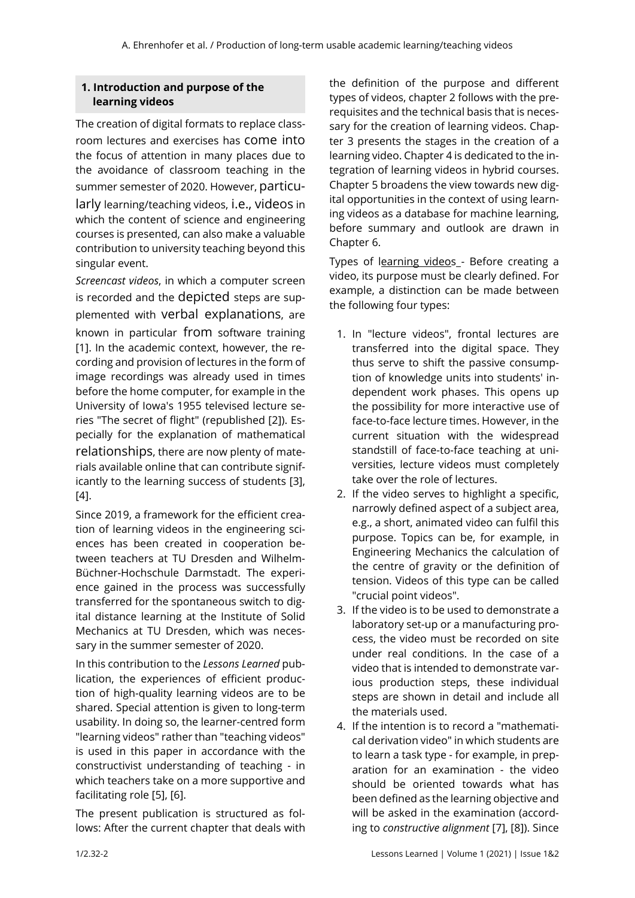# **1. Introduction and purpose of the learning videos**

The creation of digital formats to replace classroom lectures and exercises has come into the focus of attention in many places due to the avoidance of classroom teaching in the summer semester of 2020. However, particularly learning/teaching videos, i.e., videos in which the content of science and engineering courses is presented, can also make a valuable contribution to university teaching beyond this singular event.

*Screencast videos*, in which a computer screen is recorded and the depicted steps are supplemented with verbal explanations, are known in particular from software training [1]. In the academic context, however, the recording and provision of lectures in the form of image recordings was already used in times before the home computer, for example in the University of Iowa's 1955 televised lecture series "The secret of flight" (republished [2]). Especially for the explanation of mathematical relationships, there are now plenty of materials available online that can contribute significantly to the learning success of students [3],  $[4]$ .

Since 2019, a framework for the efficient creation of learning videos in the engineering sciences has been created in cooperation between teachers at TU Dresden and Wilhelm-Büchner-Hochschule Darmstadt. The experience gained in the process was successfully transferred for the spontaneous switch to digital distance learning at the Institute of Solid Mechanics at TU Dresden, which was necessary in the summer semester of 2020.

In this contribution to the *Lessons Learned* publication, the experiences of efficient production of high-quality learning videos are to be shared. Special attention is given to long-term usability. In doing so, the learner-centred form "learning videos" rather than "teaching videos" is used in this paper in accordance with the constructivist understanding of teaching - in which teachers take on a more supportive and facilitating role [5], [6].

The present publication is structured as follows: After the current chapter that deals with

the definition of the purpose and different types of videos, chapter 2 follows with the prerequisites and the technical basis that is necessary for the creation of learning videos. Chapter 3 presents the stages in the creation of a learning video. Chapter 4 is dedicated to the integration of learning videos in hybrid courses. Chapter 5 broadens the view towards new digital opportunities in the context of using learning videos as a database for machine learning, before summary and outlook are drawn in Chapter 6.

Types of learning videos - Before creating a video, its purpose must be clearly defined. For example, a distinction can be made between the following four types:

- 1. In "lecture videos", frontal lectures are transferred into the digital space. They thus serve to shift the passive consumption of knowledge units into students' independent work phases. This opens up the possibility for more interactive use of face-to-face lecture times. However, in the current situation with the widespread standstill of face-to-face teaching at universities, lecture videos must completely take over the role of lectures.
- 2. If the video serves to highlight a specific, narrowly defined aspect of a subject area, e.g., a short, animated video can fulfil this purpose. Topics can be, for example, in Engineering Mechanics the calculation of the centre of gravity or the definition of tension. Videos of this type can be called "crucial point videos".
- 3. If the video is to be used to demonstrate a laboratory set-up or a manufacturing process, the video must be recorded on site under real conditions. In the case of a video that is intended to demonstrate various production steps, these individual steps are shown in detail and include all the materials used.
- 4. If the intention is to record a "mathematical derivation video" in which students are to learn a task type - for example, in preparation for an examination - the video should be oriented towards what has been defined as the learning objective and will be asked in the examination (according to *constructive alignment* [7], [8]). Since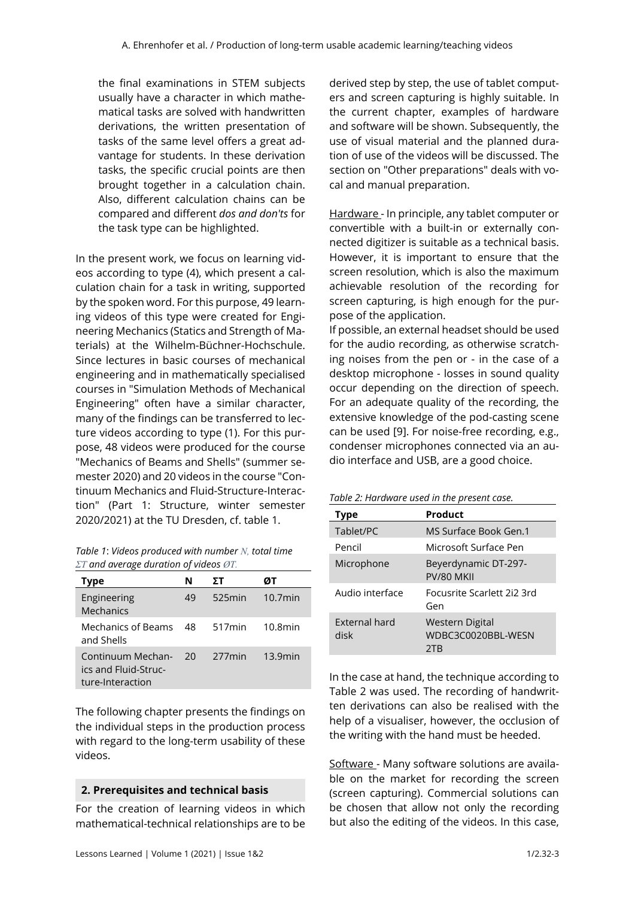the final examinations in STEM subjects usually have a character in which mathematical tasks are solved with handwritten derivations, the written presentation of tasks of the same level offers a great advantage for students. In these derivation tasks, the specific crucial points are then brought together in a calculation chain. Also, different calculation chains can be compared and different *dos and don'ts* for the task type can be highlighted.

In the present work, we focus on learning videos according to type (4), which present a calculation chain for a task in writing, supported by the spoken word. For this purpose, 49 learning videos of this type were created for Engineering Mechanics (Statics and Strength of Materials) at the Wilhelm-Büchner-Hochschule. Since lectures in basic courses of mechanical engineering and in mathematically specialised courses in "Simulation Methods of Mechanical Engineering" often have a similar character, many of the findings can be transferred to lecture videos according to type (1). For this purpose, 48 videos were produced for the course "Mechanics of Beams and Shells" (summer semester 2020) and 20 videos in the course "Continuum Mechanics and Fluid-Structure-Interaction" (Part 1: Structure, winter semester 2020/2021) at the TU Dresden, cf. table 1.

| Table 1: Videos produced with number N, total time          |
|-------------------------------------------------------------|
| $\Sigma T$ and average duration of videos $\varnothing T$ . |

| <b>Type</b>                                                   | N    | ΣТ        | øт         |
|---------------------------------------------------------------|------|-----------|------------|
| Engineering<br>Mechanics                                      | 49   | $525$ min | $10.7$ min |
| Mechanics of Beams<br>and Shells                              | - 48 | $517$ min | 10.8min    |
| Continuum Mechan-<br>ics and Fluid-Struc-<br>ture-Interaction | 20   | 277min    | 13.9min    |

The following chapter presents the findings on the individual steps in the production process with regard to the long-term usability of these videos.

#### **2. Prerequisites and technical basis**

For the creation of learning videos in which mathematical-technical relationships are to be

derived step by step, the use of tablet computers and screen capturing is highly suitable. In the current chapter, examples of hardware and software will be shown. Subsequently, the use of visual material and the planned duration of use of the videos will be discussed. The section on "Other preparations" deals with vocal and manual preparation.

Hardware - In principle, any tablet computer or convertible with a built-in or externally connected digitizer is suitable as a technical basis. However, it is important to ensure that the screen resolution, which is also the maximum achievable resolution of the recording for screen capturing, is high enough for the purpose of the application.

If possible, an external headset should be used for the audio recording, as otherwise scratching noises from the pen or - in the case of a desktop microphone - losses in sound quality occur depending on the direction of speech. For an adequate quality of the recording, the extensive knowledge of the pod-casting scene can be used [9]. For noise-free recording, e.g., condenser microphones connected via an audio interface and USB, are a good choice.

|  | Table 2: Hardware used in the present case. |
|--|---------------------------------------------|
|--|---------------------------------------------|

| Type                  | Product                                             |
|-----------------------|-----------------------------------------------------|
| Tablet/PC             | MS Surface Book Gen.1                               |
| Pencil                | Microsoft Surface Pen                               |
| Microphone            | Beyerdynamic DT-297-<br>PV/80 MKII                  |
| Audio interface       | Focusrite Scarlett 2i2 3rd<br>Gen                   |
| External hard<br>disk | <b>Western Digital</b><br>WDBC3C0020BBL-WESN<br>2TB |

In the case at hand, the technique according to Table 2 was used. The recording of handwritten derivations can also be realised with the help of a visualiser, however, the occlusion of the writing with the hand must be heeded.

Software - Many software solutions are available on the market for recording the screen (screen capturing). Commercial solutions can be chosen that allow not only the recording but also the editing of the videos. In this case,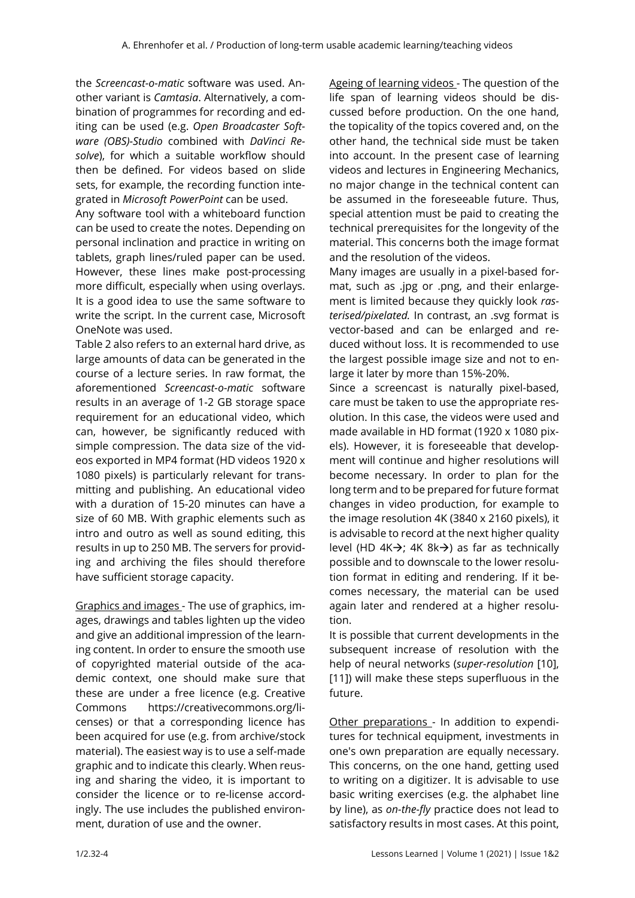the *Screencast-o-matic* software was used. Another variant is *Camtasia*. Alternatively, a combination of programmes for recording and editing can be used (e.g. *Open Broadcaster Software (OBS)-Studio* combined with *DaVinci Resolve*), for which a suitable workflow should then be defined. For videos based on slide sets, for example, the recording function integrated in *Microsoft PowerPoint* can be used.

Any software tool with a whiteboard function can be used to create the notes. Depending on personal inclination and practice in writing on tablets, graph lines/ruled paper can be used. However, these lines make post-processing more difficult, especially when using overlays. It is a good idea to use the same software to write the script. In the current case, Microsoft OneNote was used.

Table 2 also refers to an external hard drive, as large amounts of data can be generated in the course of a lecture series. In raw format, the aforementioned *Screencast-o-matic* software results in an average of 1-2 GB storage space requirement for an educational video, which can, however, be significantly reduced with simple compression. The data size of the videos exported in MP4 format (HD videos 1920 x 1080 pixels) is particularly relevant for transmitting and publishing. An educational video with a duration of 15-20 minutes can have a size of 60 MB. With graphic elements such as intro and outro as well as sound editing, this results in up to 250 MB. The servers for providing and archiving the files should therefore have sufficient storage capacity.

Graphics and images - The use of graphics, images, drawings and tables lighten up the video and give an additional impression of the learning content. In order to ensure the smooth use of copyrighted material outside of the academic context, one should make sure that these are under a free licence (e.g. Creative Commons https://creativecommons.org/licenses) or that a corresponding licence has been acquired for use (e.g. from archive/stock material). The easiest way is to use a self-made graphic and to indicate this clearly. When reusing and sharing the video, it is important to consider the licence or to re-license accordingly. The use includes the published environment, duration of use and the owner.

Ageing of learning videos - The question of the life span of learning videos should be discussed before production. On the one hand, the topicality of the topics covered and, on the other hand, the technical side must be taken into account. In the present case of learning videos and lectures in Engineering Mechanics, no major change in the technical content can be assumed in the foreseeable future. Thus, special attention must be paid to creating the technical prerequisites for the longevity of the material. This concerns both the image format and the resolution of the videos.

Many images are usually in a pixel-based format, such as .jpg or .png, and their enlargement is limited because they quickly look *rasterised/pixelated.* In contrast, an .svg format is vector-based and can be enlarged and reduced without loss. It is recommended to use the largest possible image size and not to enlarge it later by more than 15%-20%.

Since a screencast is naturally pixel-based, care must be taken to use the appropriate resolution. In this case, the videos were used and made available in HD format (1920 x 1080 pixels). However, it is foreseeable that development will continue and higher resolutions will become necessary. In order to plan for the long term and to be prepared for future format changes in video production, for example to the image resolution 4K (3840 x 2160 pixels), it is advisable to record at the next higher quality level (HD 4K $\rightarrow$ ; 4K 8k $\rightarrow$ ) as far as technically possible and to downscale to the lower resolution format in editing and rendering. If it becomes necessary, the material can be used again later and rendered at a higher resolution.

It is possible that current developments in the subsequent increase of resolution with the help of neural networks (*super-resolution* [10], [11]) will make these steps superfluous in the future.

Other preparations - In addition to expenditures for technical equipment, investments in one's own preparation are equally necessary. This concerns, on the one hand, getting used to writing on a digitizer. It is advisable to use basic writing exercises (e.g. the alphabet line by line), as *on-the-fly* practice does not lead to satisfactory results in most cases. At this point,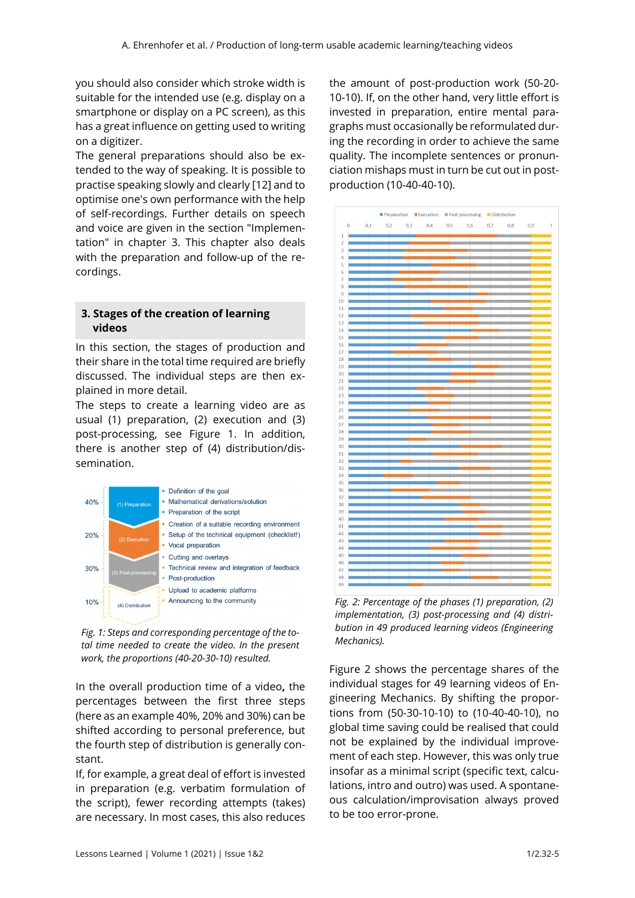you should also consider which stroke width is suitable for the intended use (e.g. display on a smartphone or display on a PC screen), as this has a great influence on getting used to writing on a digitizer.

The general preparations should also be extended to the way of speaking. It is possible to practise speaking slowly and clearly [12] and to optimise one's own performance with the help of self-recordings. Further details on speech and voice are given in the section "Implementation" in chapter 3. This chapter also deals with the preparation and follow-up of the recordings.

### **3. Stages of the creation of learning videos**

In this section, the stages of production and their share in the total time required are briefly discussed. The individual steps are then explained in more detail.

The steps to create a learning video are as usual (1) preparation, (2) execution and (3) post-processing, see Figure 1. In addition, there is another step of (4) distribution/dissemination.



*Fig. 1: Steps and corresponding percentage of the total time needed to create the video. In the present work, the proportions (40-20-30-10) resulted.* 

In the overall production time of a video**,** the percentages between the first three steps (here as an example 40%, 20% and 30%) can be shifted according to personal preference, but the fourth step of distribution is generally constant.

If, for example, a great deal of effort is invested in preparation (e.g. verbatim formulation of the script), fewer recording attempts (takes) are necessary. In most cases, this also reduces

the amount of post-production work (50-20- 10-10). If, on the other hand, very little effort is invested in preparation, entire mental paragraphs must occasionally be reformulated during the recording in order to achieve the same quality. The incomplete sentences or pronunciation mishaps must in turn be cut out in postproduction (10-40-40-10).



*Fig. 2: Percentage of the phases (1) preparation, (2) implementation, (3) post-processing and (4) distribution in 49 produced learning videos (Engineering Mechanics).* 

Figure 2 shows the percentage shares of the individual stages for 49 learning videos of Engineering Mechanics. By shifting the proportions from (50-30-10-10) to (10-40-40-10), no global time saving could be realised that could not be explained by the individual improvement of each step. However, this was only true insofar as a minimal script (specific text, calculations, intro and outro) was used. A spontaneous calculation/improvisation always proved to be too error-prone.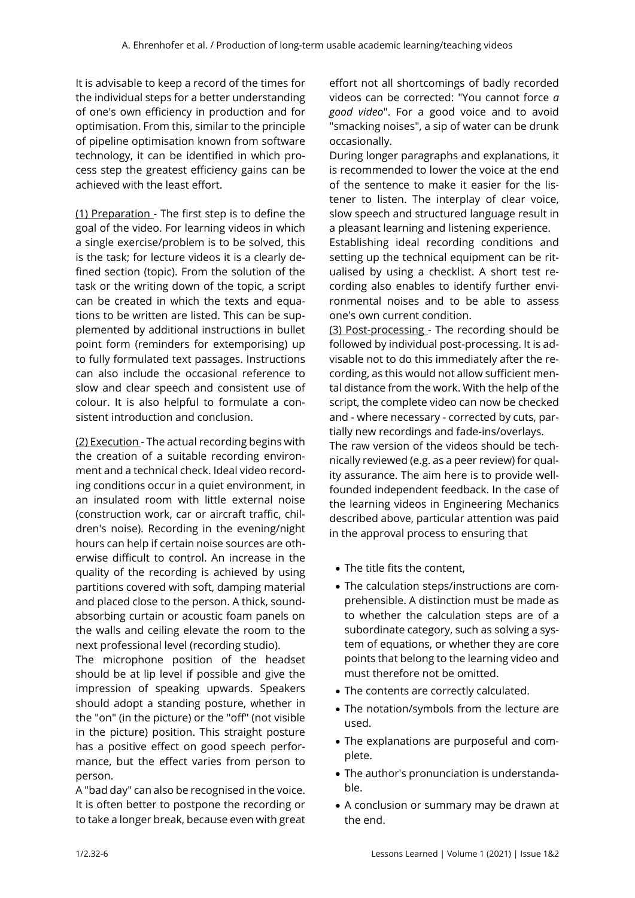It is advisable to keep a record of the times for the individual steps for a better understanding of one's own efficiency in production and for optimisation. From this, similar to the principle of pipeline optimisation known from software technology, it can be identified in which process step the greatest efficiency gains can be achieved with the least effort.

(1) Preparation - The first step is to define the goal of the video. For learning videos in which a single exercise/problem is to be solved, this is the task; for lecture videos it is a clearly defined section (topic). From the solution of the task or the writing down of the topic, a script can be created in which the texts and equations to be written are listed. This can be supplemented by additional instructions in bullet point form (reminders for extemporising) up to fully formulated text passages. Instructions can also include the occasional reference to slow and clear speech and consistent use of colour. It is also helpful to formulate a consistent introduction and conclusion.

(2) Execution - The actual recording begins with the creation of a suitable recording environment and a technical check. Ideal video recording conditions occur in a quiet environment, in an insulated room with little external noise (construction work, car or aircraft traffic, children's noise). Recording in the evening/night hours can help if certain noise sources are otherwise difficult to control. An increase in the quality of the recording is achieved by using partitions covered with soft, damping material and placed close to the person. A thick, soundabsorbing curtain or acoustic foam panels on the walls and ceiling elevate the room to the next professional level (recording studio).

The microphone position of the headset should be at lip level if possible and give the impression of speaking upwards. Speakers should adopt a standing posture, whether in the "on" (in the picture) or the "off" (not visible in the picture) position. This straight posture has a positive effect on good speech performance, but the effect varies from person to person.

A "bad day" can also be recognised in the voice. It is often better to postpone the recording or to take a longer break, because even with great

effort not all shortcomings of badly recorded videos can be corrected: "You cannot force *a good video*". For a good voice and to avoid "smacking noises", a sip of water can be drunk occasionally.

During longer paragraphs and explanations, it is recommended to lower the voice at the end of the sentence to make it easier for the listener to listen. The interplay of clear voice, slow speech and structured language result in a pleasant learning and listening experience.

Establishing ideal recording conditions and setting up the technical equipment can be ritualised by using a checklist. A short test recording also enables to identify further environmental noises and to be able to assess one's own current condition.

(3) Post-processing - The recording should be followed by individual post-processing. It is advisable not to do this immediately after the recording, as this would not allow sufficient mental distance from the work. With the help of the script, the complete video can now be checked and - where necessary - corrected by cuts, partially new recordings and fade-ins/overlays.

The raw version of the videos should be technically reviewed (e.g. as a peer review) for quality assurance. The aim here is to provide wellfounded independent feedback. In the case of the learning videos in Engineering Mechanics described above, particular attention was paid in the approval process to ensuring that

- The title fits the content.
- The calculation steps/instructions are comprehensible. A distinction must be made as to whether the calculation steps are of a subordinate category, such as solving a system of equations, or whether they are core points that belong to the learning video and must therefore not be omitted.
- The contents are correctly calculated.
- The notation/symbols from the lecture are used.
- The explanations are purposeful and complete.
- The author's pronunciation is understandable.
- A conclusion or summary may be drawn at the end.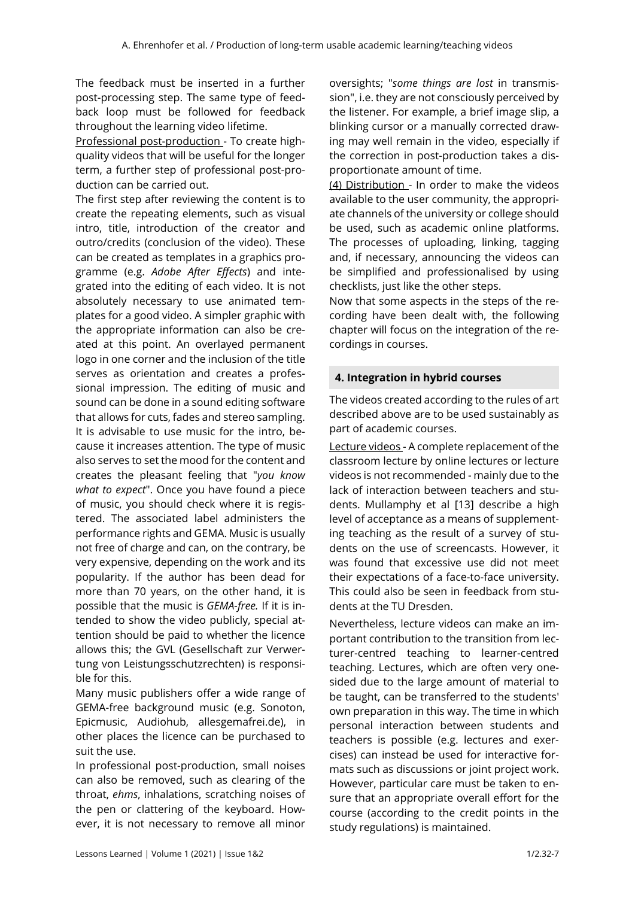The feedback must be inserted in a further post-processing step. The same type of feedback loop must be followed for feedback throughout the learning video lifetime.

Professional post-production - To create highquality videos that will be useful for the longer term, a further step of professional post-production can be carried out.

The first step after reviewing the content is to create the repeating elements, such as visual intro, title, introduction of the creator and outro/credits (conclusion of the video). These can be created as templates in a graphics programme (e.g. *Adobe After Effects*) and integrated into the editing of each video. It is not absolutely necessary to use animated templates for a good video. A simpler graphic with the appropriate information can also be created at this point. An overlayed permanent logo in one corner and the inclusion of the title serves as orientation and creates a professional impression. The editing of music and sound can be done in a sound editing software that allows for cuts, fades and stereo sampling. It is advisable to use music for the intro, because it increases attention. The type of music also serves to set the mood for the content and creates the pleasant feeling that "*you know what to expect*". Once you have found a piece of music, you should check where it is registered. The associated label administers the performance rights and GEMA. Music is usually not free of charge and can, on the contrary, be very expensive, depending on the work and its popularity. If the author has been dead for more than 70 years, on the other hand, it is possible that the music is *GEMA-free.* If it is intended to show the video publicly, special attention should be paid to whether the licence allows this; the GVL (Gesellschaft zur Verwertung von Leistungsschutzrechten) is responsible for this.

Many music publishers offer a wide range of GEMA-free background music (e.g. Sonoton, Epicmusic, Audiohub, allesgemafrei.de), in other places the licence can be purchased to suit the use.

In professional post-production, small noises can also be removed, such as clearing of the throat, *ehms*, inhalations, scratching noises of the pen or clattering of the keyboard. However, it is not necessary to remove all minor oversights; "*some things are lost* in transmission", i.e. they are not consciously perceived by the listener. For example, a brief image slip, a blinking cursor or a manually corrected drawing may well remain in the video, especially if the correction in post-production takes a disproportionate amount of time.

(4) Distribution - In order to make the videos available to the user community, the appropriate channels of the university or college should be used, such as academic online platforms. The processes of uploading, linking, tagging and, if necessary, announcing the videos can be simplified and professionalised by using checklists, just like the other steps.

Now that some aspects in the steps of the recording have been dealt with, the following chapter will focus on the integration of the recordings in courses.

## **4. Integration in hybrid courses**

The videos created according to the rules of art described above are to be used sustainably as part of academic courses.

Lecture videos - A complete replacement of the classroom lecture by online lectures or lecture videos is not recommended - mainly due to the lack of interaction between teachers and students. Mullamphy et al [13] describe a high level of acceptance as a means of supplementing teaching as the result of a survey of students on the use of screencasts. However, it was found that excessive use did not meet their expectations of a face-to-face university. This could also be seen in feedback from students at the TU Dresden.

Nevertheless, lecture videos can make an important contribution to the transition from lecturer-centred teaching to learner-centred teaching. Lectures, which are often very onesided due to the large amount of material to be taught, can be transferred to the students' own preparation in this way. The time in which personal interaction between students and teachers is possible (e.g. lectures and exercises) can instead be used for interactive formats such as discussions or joint project work. However, particular care must be taken to ensure that an appropriate overall effort for the course (according to the credit points in the study regulations) is maintained.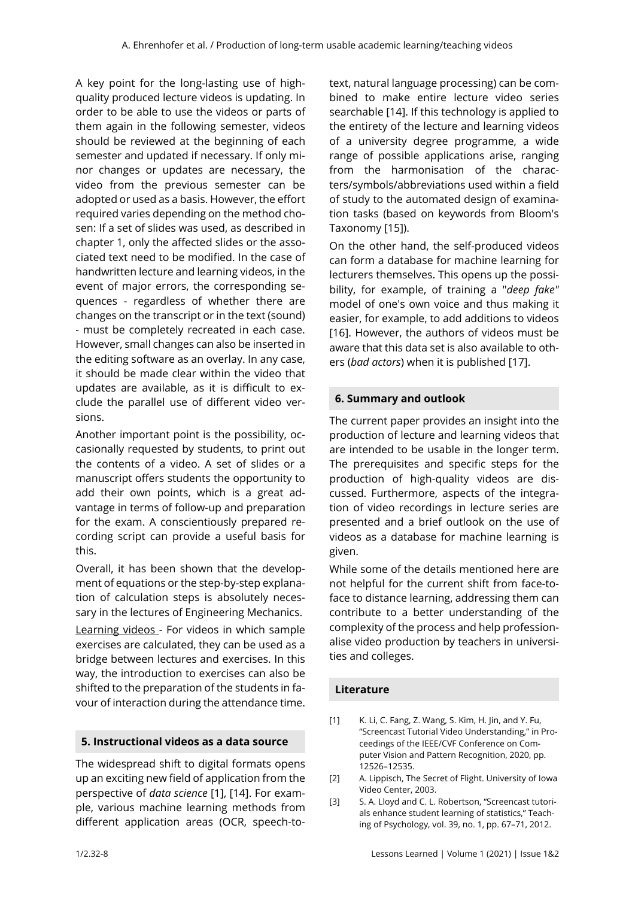A key point for the long-lasting use of highquality produced lecture videos is updating. In order to be able to use the videos or parts of them again in the following semester, videos should be reviewed at the beginning of each semester and updated if necessary. If only minor changes or updates are necessary, the video from the previous semester can be adopted or used as a basis. However, the effort required varies depending on the method chosen: If a set of slides was used, as described in chapter 1, only the affected slides or the associated text need to be modified. In the case of handwritten lecture and learning videos, in the event of major errors, the corresponding sequences - regardless of whether there are changes on the transcript or in the text (sound) - must be completely recreated in each case. However, small changes can also be inserted in the editing software as an overlay. In any case, it should be made clear within the video that updates are available, as it is difficult to exclude the parallel use of different video versions.

Another important point is the possibility, occasionally requested by students, to print out the contents of a video. A set of slides or a manuscript offers students the opportunity to add their own points, which is a great advantage in terms of follow-up and preparation for the exam. A conscientiously prepared recording script can provide a useful basis for this.

Overall, it has been shown that the development of equations or the step-by-step explanation of calculation steps is absolutely necessary in the lectures of Engineering Mechanics.

Learning videos - For videos in which sample exercises are calculated, they can be used as a bridge between lectures and exercises. In this way, the introduction to exercises can also be shifted to the preparation of the students in favour of interaction during the attendance time.

#### **5. Instructional videos as a data source**

The widespread shift to digital formats opens up an exciting new field of application from the perspective of *data science* [1], [14]. For example, various machine learning methods from different application areas (OCR, speech-totext, natural language processing) can be combined to make entire lecture video series searchable [14]. If this technology is applied to the entirety of the lecture and learning videos of a university degree programme, a wide range of possible applications arise, ranging from the harmonisation of the characters/symbols/abbreviations used within a field of study to the automated design of examination tasks (based on keywords from Bloom's Taxonomy [15]).

On the other hand, the self-produced videos can form a database for machine learning for lecturers themselves. This opens up the possibility, for example, of training a "*deep fake"*  model of one's own voice and thus making it easier, for example, to add additions to videos [16]. However, the authors of videos must be aware that this data set is also available to others (*bad actors*) when it is published [17].

#### **6. Summary and outlook**

The current paper provides an insight into the production of lecture and learning videos that are intended to be usable in the longer term. The prerequisites and specific steps for the production of high-quality videos are discussed. Furthermore, aspects of the integration of video recordings in lecture series are presented and a brief outlook on the use of videos as a database for machine learning is given.

While some of the details mentioned here are not helpful for the current shift from face-toface to distance learning, addressing them can contribute to a better understanding of the complexity of the process and help professionalise video production by teachers in universities and colleges.

#### **Literature**

- [1] K. Li, C. Fang, Z. Wang, S. Kim, H. Jin, and Y. Fu, "Screencast Tutorial Video Understanding," in Proceedings of the IEEE/CVF Conference on Computer Vision and Pattern Recognition, 2020, pp. 12526–12535.
- [2] A. Lippisch, The Secret of Flight. University of Iowa Video Center, 2003.
- [3] S. A. Lloyd and C. L. Robertson, "Screencast tutorials enhance student learning of statistics," Teaching of Psychology, vol. 39, no. 1, pp. 67–71, 2012.